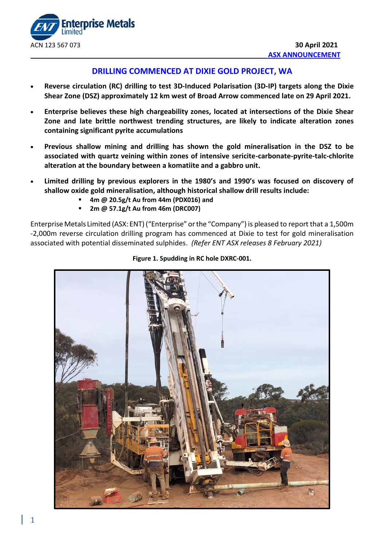

# **DRILLING COMMENCED AT DIXIE GOLD PROJECT, WA**

- **Reverse circulation (RC) drilling to test 3D-Induced Polarisation (3D-IP) targets along the Dixie Shear Zone (DSZ) approximately 12 km west of Broad Arrow commenced late on 29 April 2021.**
- **Enterprise believes these high chargeability zones, located at intersections of the Dixie Shear Zone and late brittle northwest trending structures, are likely to indicate alteration zones containing significant pyrite accumulations**
- **Previous shallow mining and drilling has shown the gold mineralisation in the DSZ to be associated with quartz veining within zones of intensive sericite-carbonate-pyrite-talc-chlorite alteration at the boundary between a komatiite and a gabbro unit.**
- **Limited drilling by previous explorers in the 1980's and 1990's was focused on discovery of shallow oxide gold mineralisation, although historical shallow drill results include:**
	- **4m @ 20.5g/t Au from 44m (PDX016) and**
	- **2m @ 57.1g/t Au from 46m (DRC007)**

EnterpriseMetals Limited (ASX: ENT)("Enterprise" orthe "Company") is pleased to report that a 1,500m -2,000m reverse circulation drilling program has commenced at Dixie to test for gold mineralisation associated with potential disseminated sulphides. *(Refer ENT ASX releases 8 February 2021)*



**Figure 1. Spudding in RC hole DXRC-001.**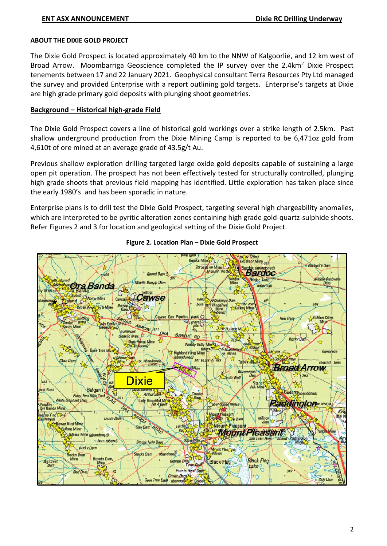#### **ABOUT THE DIXIE GOLD PROJECT**

The Dixie Gold Prospect is located approximately 40 km to the NNW of Kalgoorlie, and 12 km west of Broad Arrow. Moombarriga Geoscience completed the IP survey over the 2.4km<sup>2</sup> Dixie Prospect tenements between 17 and 22 January 2021. Geophysical consultant Terra Resources Pty Ltd managed the survey and provided Enterprise with a report outlining gold targets. Enterprise's targets at Dixie are high grade primary gold deposits with plunging shoot geometries.

### **Background – Historical high-grade Field**

The Dixie Gold Prospect covers a line of historical gold workings over a strike length of 2.5km. Past shallow underground production from the Dixie Mining Camp is reported to be 6,471oz gold from 4,610t of ore mined at an average grade of 43.5g/t Au.

Previous shallow exploration drilling targeted large oxide gold deposits capable of sustaining a large open pit operation. The prospect has not been effectively tested for structurally controlled, plunging high grade shoots that previous field mapping has identified. Little exploration has taken place since the early 1980's and has been sporadic in nature.

Enterprise plans is to drill test the Dixie Gold Prospect, targeting several high chargeability anomalies, which are interpreted to be pyritic alteration zones containing high grade gold-quartz-sulphide shoots. Refer Figures 2 and 3 for location and geological setting of the Dixie Gold Project.



#### **Figure 2. Location Plan – Dixie Gold Prospect**